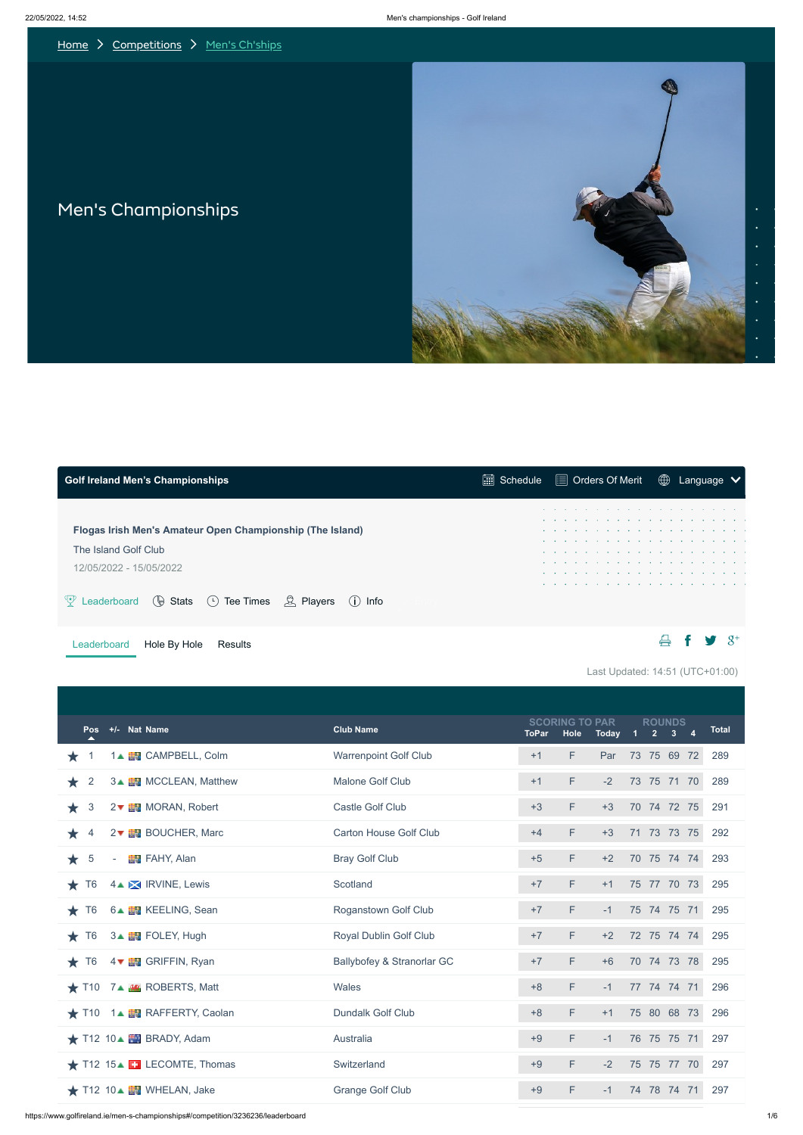<span id="page-0-0"></span>

Last Updated: 14:51 (UTC+01:00)





|  |  | $\circledR$ Language $\vee$<br>.<br>.<br>. |
|--|--|--------------------------------------------|

| +/- Nat Name<br><b>Pos</b>                         |                                 | <b>Club Name</b>              | <b>ToPar</b> | <b>SCORING TO PAR</b><br>Hole | <b>Today</b> | 1           | <b>ROUNDS</b><br>2 <sup>1</sup> | $\overline{4}$<br>3 <sup>1</sup> | <b>Total</b> |
|----------------------------------------------------|---------------------------------|-------------------------------|--------------|-------------------------------|--------------|-------------|---------------------------------|----------------------------------|--------------|
| Ж                                                  | 1▲ EV CAMPBELL, Colm            | <b>Warrenpoint Golf Club</b>  | $+1$         | F                             | Par          | 73 75 69 72 |                                 |                                  | 289          |
| $\overline{2}$<br>*                                | 3 <sup>A</sup> MCCLEAN, Matthew | <b>Malone Golf Club</b>       | $+1$         | F                             | $-2$         | 73 75 71 70 |                                 |                                  | 289          |
| 3<br>*                                             | 2▼ MORAN, Robert                | <b>Castle Golf Club</b>       | $+3$         | F                             | $+3$         | 70 74 72 75 |                                 |                                  | 291          |
| $\overline{4}$<br>$2\bullet$<br>*                  | <b>BOUCHER, Marc</b>            | <b>Carton House Golf Club</b> | $+4$         | F                             | $+3$         | 71 73 73 75 |                                 |                                  | 292          |
| $\overline{5}$<br>★<br>$\overline{\phantom{a}}$    | <b>FAHY, Alan</b>               | <b>Bray Golf Club</b>         | $+5$         | F                             | $+2$         | 70 75 74 74 |                                 |                                  | 293          |
| 4 MIRVINE, Lewis<br>T <sub>6</sub><br>*            |                                 | Scotland                      | $+7$         | F                             | $+1$         | 75 77 70 73 |                                 |                                  | 295          |
| T <sub>6</sub><br>$\star$                          | 6▲ <b>N</b> KEELING, Sean       | <b>Roganstown Golf Club</b>   | $+7$         | F                             | $-1$         | 75 74 75 71 |                                 |                                  | 295          |
| T <sub>6</sub><br>3 LE FOLEY, Hugh<br>★            |                                 | <b>Royal Dublin Golf Club</b> | $+7$         | F                             | $+2$         | 72 75 74 74 |                                 |                                  | 295          |
| T <sub>6</sub><br>$\star$                          | 4 VEN GRIFFIN, Ryan             | Ballybofey & Stranorlar GC    | $+7$         | F                             | $+6$         | 70 74 73 78 |                                 |                                  | 295          |
| $\bigstar$ T10 7 $\bigstar$ <b>M</b> ROBERTS, Matt |                                 | Wales                         | $+8$         | F                             | $-1$         | 77 74 74 71 |                                 |                                  | 296          |
| ★ T10 1▲ ■ RAFFERTY, Caolan                        |                                 | <b>Dundalk Golf Club</b>      | $+8$         | F                             | $+1$         | 75 80 68 73 |                                 |                                  | 296          |
| $\bigstar$ T12 10 $\bigstar$ BRADY, Adam           |                                 | Australia                     | $+9$         | F                             | $-1$         | 76 75 75 71 |                                 |                                  | 297          |
| $\star$ T12 15 $\blacktriangle$ E. LECOMTE, Thomas |                                 | Switzerland                   | $+9$         | F                             | $-2$         | 75 75 77 70 |                                 |                                  | 297          |
| ★ T12 10▲ 图 WHELAN, Jake                           |                                 | <b>Grange Golf Club</b>       | $+9$         | F                             | $-1$         | 74 78 74 71 |                                 |                                  | 297          |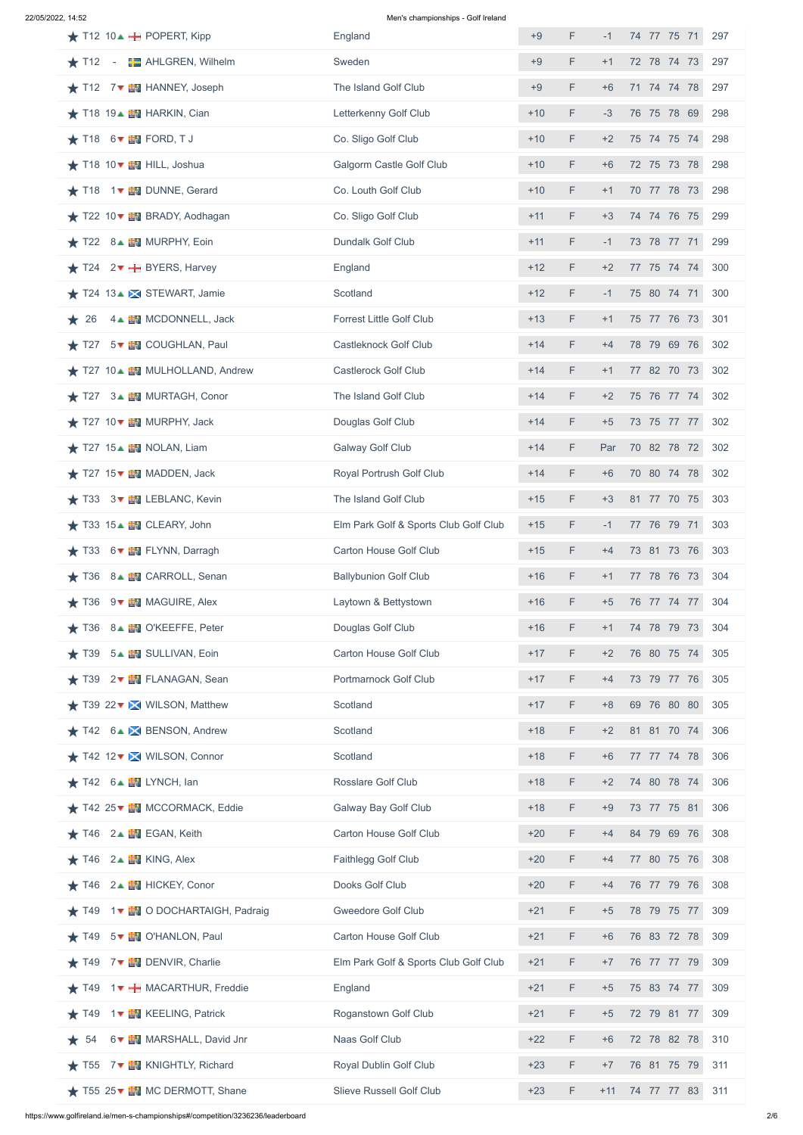22/05/2022, 14:52 Men's championships - Golf Ireland

| $\bigstar$ T12 10 $\bigstar$ <b>H</b> POPERT, Kipp                 | England                               | $+9$  | F  | $-1$  | 74 77 75 71<br>297 |  |
|--------------------------------------------------------------------|---------------------------------------|-------|----|-------|--------------------|--|
| <b>EXAHLGREN, Wilhelm</b><br>$\star$ T12 -                         | Sweden                                | $+9$  | F. | $+1$  | 72 78 74 73<br>297 |  |
| $\star$ T12 7 $\overline{B}$ HANNEY, Joseph                        | The Island Golf Club                  | $+9$  | F  | $+6$  | 71 74 74 78<br>297 |  |
| $\bigstar$ T18 19 $\blacktriangle$ EV HARKIN, Cian                 | Letterkenny Golf Club                 | $+10$ | F  | $-3$  | 76 75 78 69<br>298 |  |
| $\star$ T18 6 $\overline{B}$ FORD, TJ                              | Co. Sligo Golf Club                   | $+10$ | F  | $+2$  | 75 74 75 74<br>298 |  |
| ★ T18 10▼ 图 HILL, Joshua                                           | <b>Galgorm Castle Golf Club</b>       | $+10$ | F. | $+6$  | 72 75 73 78<br>298 |  |
| ★ T18 1▼ 图 DUNNE, Gerard                                           | Co. Louth Golf Club                   | $+10$ | F  | $+1$  | 70 77 78 73<br>298 |  |
| ★ T22 10▼ ■ BRADY, Aodhagan                                        | Co. Sligo Golf Club                   | $+11$ | F. | $+3$  | 74 74 76 75<br>299 |  |
| $\star$ T22 8 <sup><math>\star</math></sup> <b>EV</b> MURPHY, Eoin | <b>Dundalk Golf Club</b>              | $+11$ | F  | $-1$  | 73 78 77 71<br>299 |  |
| $\star$ T24 2 $\star$ <b>H</b> BYERS, Harvey                       | England                               | $+12$ | F. | $+2$  | 77 75 74 74<br>300 |  |
| $\bigstar$ T24 13 $\bigstar$ STEWART, Jamie                        | Scotland                              | $+12$ | F  | $-1$  | 75 80 74 71<br>300 |  |
| 4▲ EM MCDONNELL, Jack<br>26<br>*                                   | <b>Forrest Little Golf Club</b>       | $+13$ | F  | $+1$  | 75 77 76 73<br>301 |  |
| T27 5▼ EV COUGHLAN, Paul<br>$\star$                                | <b>Castleknock Golf Club</b>          | $+14$ | F  | $+4$  | 78 79 69 76<br>302 |  |
| ★ T27 10▲ EN MULHOLLAND, Andrew                                    | <b>Castlerock Golf Club</b>           | $+14$ | F  | $+1$  | 77 82 70 73<br>302 |  |
| ★ T27 3▲ <b>图</b> MURTAGH, Conor                                   | The Island Golf Club                  | $+14$ | F  | $+2$  | 75 76 77 74<br>302 |  |
| $\star$ T27 10 $\star$ <b>EV</b> MURPHY, Jack                      | Douglas Golf Club                     | $+14$ | F. | $+5$  | 73 75 77 77<br>302 |  |
| $\star$ T27 15 $\star$ <b>EV</b> NOLAN, Liam                       | <b>Galway Golf Club</b>               | $+14$ | F  | Par   | 70 82 78 72<br>302 |  |
| $\star$ T27 15 $\star$ <b>EV</b> MADDEN, Jack                      | Royal Portrush Golf Club              | $+14$ | F  | $+6$  | 70 80 74 78<br>302 |  |
| T33 3▼ EN LEBLANC, Kevin<br>$\star$                                | The Island Golf Club                  | $+15$ | F  | $+3$  | 81 77 70 75<br>303 |  |
| $\star$ T33 15 $\star$ <b>EV</b> CLEARY, John                      | Elm Park Golf & Sports Club Golf Club | $+15$ | F  | $-1$  | 77 76 79 71<br>303 |  |
| 6▼ THE FLYNN, Darragh<br>T33<br>$\star$                            | <b>Carton House Golf Club</b>         | $+15$ | F  | $+4$  | 73 81 73 76<br>303 |  |
| ★ T36 8▲ ■ CARROLL, Senan                                          | <b>Ballybunion Golf Club</b>          | $+16$ | F  | $+1$  | 77 78 76 73<br>304 |  |
| T36<br>9 <b>EV</b> MAGUIRE, Alex<br>$\star$                        | Laytown & Bettystown                  | $+16$ | F  | $+5$  | 76 77 74 77<br>304 |  |
| 8▲ FOKEEFFE, Peter<br>T36<br>$\star$                               | Douglas Golf Club                     | $+16$ | F. | $+1$  | 74 78 79 73<br>304 |  |
| 5 LEW SULLIVAN, Eoin<br>T39<br>*                                   | <b>Carton House Golf Club</b>         | $+17$ | F  | $+2$  | 76 80 75 74<br>305 |  |
| $\star$ T39 2 $\star$ EV FLANAGAN, Sean                            | <b>Portmarnock Golf Club</b>          | $+17$ | F  | $+4$  | 73 79 77 76<br>305 |  |
| ★ T39 22▼ <b>X</b> WILSON, Matthew                                 | Scotland                              | $+17$ | F  | $+8$  | 69 76 80 80<br>305 |  |
| T42 6▲ <b>X</b> BENSON, Andrew<br>*                                | Scotland                              | $+18$ | F  | $+2$  | 81 81 70 74<br>306 |  |
| ★ T42 12▼ X WILSON, Connor                                         | Scotland                              | $+18$ | F  | $+6$  | 77 77 74 78<br>306 |  |
| $\star$ T42 6 $\overline{B}$ LYNCH, lan                            | <b>Rosslare Golf Club</b>             | $+18$ | F. | $+2$  | 74 80 78 74<br>306 |  |
| $\star$ T42 25 $\bullet$ <b>EV</b> MCCORMACK, Eddie                | <b>Galway Bay Golf Club</b>           | $+18$ | F  | $+9$  | 73 77 75 81<br>306 |  |
| 2▲ EGAN, Keith<br>T46<br>*                                         | <b>Carton House Golf Club</b>         | $+20$ | F  | $+4$  | 84 79 69 76<br>308 |  |
| 2▲ <b>EV</b> KING, Alex<br>T46<br>*                                | Faithlegg Golf Club                   | $+20$ | F  | $+4$  | 77 80 75 76<br>308 |  |
| T46 2▲ HICKEY, Conor                                               | Dooks Golf Club                       | $+20$ | F  | $+4$  | 76 77 79 76<br>308 |  |
| T49 1▼ 2DOCHARTAIGH, Padraig<br>*                                  | <b>Gweedore Golf Club</b>             | $+21$ | F  | $+5$  | 78 79 75 77<br>309 |  |
| $\star$ T49 5 $\star$ <b>EV</b> O'HANLON, Paul                     | <b>Carton House Golf Club</b>         | $+21$ | F  | $+6$  | 76 83 72 78<br>309 |  |
| T49 7▼ 出 DENVIR, Charlie<br>÷                                      | Elm Park Golf & Sports Club Golf Club | $+21$ | F  | $+7$  | 76 77 77 79<br>309 |  |
| 1 V H MACARTHUR, Freddie<br>T49<br>*                               | England                               | $+21$ | F  | $+5$  | 75 83 74 77<br>309 |  |
| 1▼ EM KEELING, Patrick<br>T49<br>$\star$                           | <b>Roganstown Golf Club</b>           | $+21$ | F  | $+5$  | 72 79 81 77<br>309 |  |
| 6▼ EV MARSHALL, David Jnr<br>54<br>*                               | Naas Golf Club                        | $+22$ | F  | $+6$  | 72 78 82 78<br>310 |  |
| 7▼ NKNIGHTLY, Richard<br>T55<br>*                                  | <b>Royal Dublin Golf Club</b>         | $+23$ | F  | $+7$  | 76 81 75 79<br>311 |  |
| T55 25 ▼ TWC DERMOTT, Shane                                        | <b>Slieve Russell Golf Club</b>       | $+23$ | F  | $+11$ | 74 77 77 83<br>311 |  |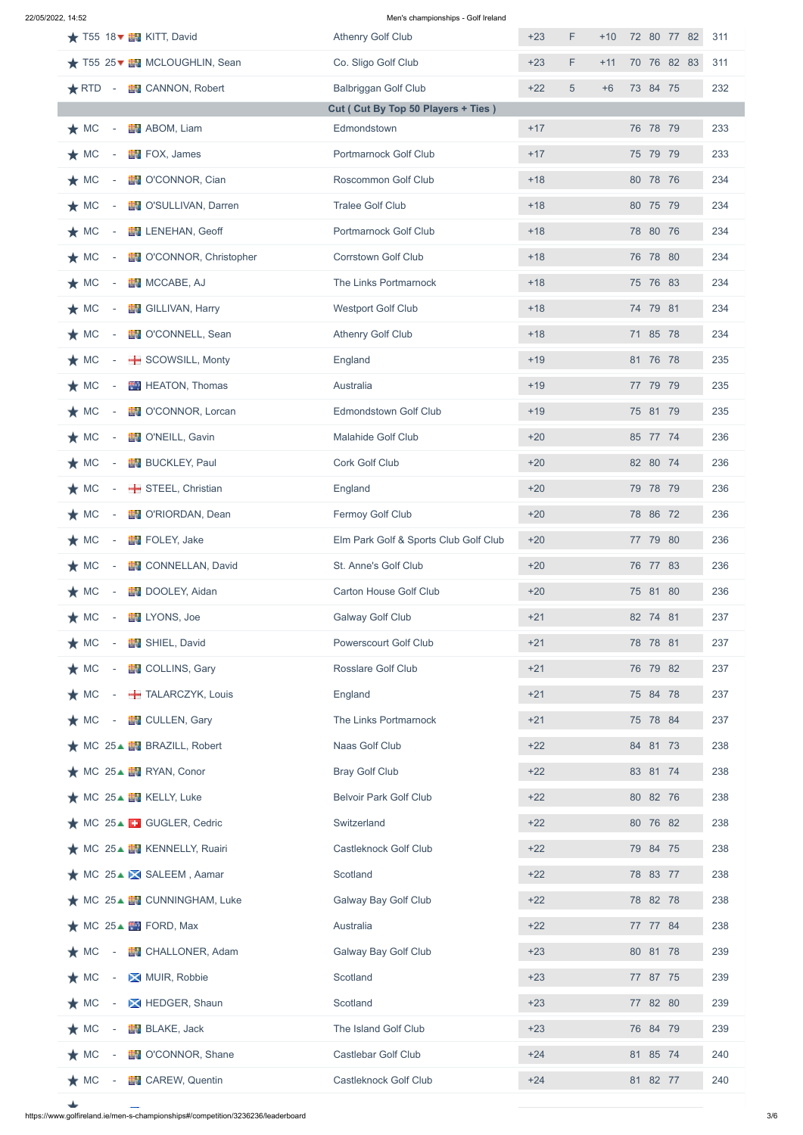22/05/2022, 14:52 Men's championships - Golf Ireland

| $\star$ T55 18 $\star$ <b>EV</b> KITT, David              | <b>Athenry Golf Club</b>              | F<br>$+23$ | $+10$ | 72 80 77 82 | 311 |
|-----------------------------------------------------------|---------------------------------------|------------|-------|-------------|-----|
| ★ T55 25▼ TWCLOUGHLIN, Sean                               | Co. Sligo Golf Club                   | $+23$<br>F | $+11$ | 70 76 82 83 | 311 |
| $\bigstar$ RTD<br><b>EV</b> CANNON, Robert<br>$\sim$ $-$  | <b>Balbriggan Golf Club</b>           | 5<br>$+22$ | $+6$  | 73 84 75    | 232 |
|                                                           | Cut ( Cut By Top 50 Players + Ties )  |            |       |             |     |
| $\star$ MC<br>ABOM, Liam                                  | Edmondstown                           | $+17$      |       | 76 78 79    | 233 |
| $\star$ MC<br>FOX, James                                  | Portmarnock Golf Club                 | $+17$      |       | 75 79 79    | 233 |
| $\star$ MC<br><b>图 O'CONNOR, Cian</b>                     | <b>Roscommon Golf Club</b>            | $+18$      |       | 80 78 76    | 234 |
| $\star$ MC<br><b>EV O'SULLIVAN, Darren</b>                | <b>Tralee Golf Club</b>               | $+18$      |       | 80 75 79    | 234 |
| $\star$ MC<br><b>EN LENEHAN, Geoff</b>                    | Portmarnock Golf Club                 | $+18$      |       | 78 80 76    | 234 |
| $\star$ MC<br><b>EV</b> O'CONNOR, Christopher             | <b>Corrstown Golf Club</b>            | $+18$      |       | 76 78 80    | 234 |
| $\star$ MC<br>MCCABE, AJ                                  | The Links Portmarnock                 | $+18$      |       | 75 76 83    | 234 |
| $\star$ MC<br>GILLIVAN, Harry                             | <b>Westport Golf Club</b>             | $+18$      |       | 74 79 81    | 234 |
| $\star$ MC<br><b>EN</b> O'CONNELL, Sean                   | <b>Athenry Golf Club</b>              | $+18$      |       | 71 85 78    | 234 |
| $\star$ MC<br>SCOWSILL, Monty                             | England                               | $+19$      |       | 81 76 78    | 235 |
| $\star$ MC<br><b>HEATON, Thomas</b>                       | Australia                             | $+19$      |       | 77 79 79    | 235 |
| $\star$ MC<br><b>D'CONNOR, Lorcan</b>                     | <b>Edmondstown Golf Club</b>          | $+19$      |       | 75 81 79    | 235 |
| $\star$ MC<br><b>N</b> O'NEILL, Gavin                     | <b>Malahide Golf Club</b>             | $+20$      |       | 85 77 74    | 236 |
| $\star$ MC<br><b>BUCKLEY, Paul</b>                        | <b>Cork Golf Club</b>                 | $+20$      |       | 82 80 74    | 236 |
| $\star$ MC<br>STEEL, Christian                            | England                               | $+20$      |       | 79 78 79    | 236 |
| $\star$ MC<br><b>EV</b> O'RIORDAN, Dean                   | Fermoy Golf Club                      | $+20$      |       | 78 86 72    | 236 |
| FOLEY, Jake<br>$\star$ MC                                 | Elm Park Golf & Sports Club Golf Club | $+20$      |       | 77 79 80    | 236 |
| $\star$ MC<br><b>EN</b> CONNELLAN, David                  | St. Anne's Golf Club                  | $+20$      |       | 76 77 83    | 236 |
| $\star$ MC<br><b>EN</b> DOOLEY, Aidan                     | <b>Carton House Golf Club</b>         | $+20$      |       | 75 81 80    | 236 |
| $\star$ MC<br><b>EN</b> LYONS, Joe                        | <b>Galway Golf Club</b>               | $+21$      |       | 82 74 81    | 237 |
| $\star$ MC<br>SHIEL, David                                | <b>Powerscourt Golf Club</b>          | $+21$      |       | 78 78 81    | 237 |
| $\star$ MC<br><b>EN</b> COLLINS, Gary<br>$\sim$           | <b>Rosslare Golf Club</b>             | $+21$      |       | 76 79 82    | 237 |
| TALARCZYK, Louis<br>$\star$ MC<br>$\sim$                  | England                               | $+21$      |       | 75 84 78    | 237 |
| $\star$ MC<br><b>EN</b> CULLEN, Gary<br>$\sim$ $ \sim$    | The Links Portmarnock                 | $+21$      |       | 75 78 84    | 237 |
| $\bigstar$ MC 25 $\bigstar$ <b>EV</b> BRAZILL, Robert     | Naas Golf Club                        | $+22$      |       | 84 81 73    | 238 |
| ★ MC 25▲ ■ RYAN, Conor                                    | <b>Bray Golf Club</b>                 | $+22$      |       | 83 81 74    | 238 |
| $\star$ MC 25 $\blacktriangle$ EV KELLY, Luke             | <b>Belvoir Park Golf Club</b>         | $+22$      |       | 80 82 76    | 238 |
| $\bigstar$ MC 25 $\blacktriangle$ <b>E</b> GUGLER, Cedric | Switzerland                           | $+22$      |       | 80 76 82    | 238 |
| ★ MC 25▲ 图 KENNELLY, Ruairi                               | <b>Castleknock Golf Club</b>          | $+22$      |       | 79 84 75    | 238 |
| ★ MC 25▲ ■ SALEEM, Aamar                                  | Scotland                              | $+22$      |       | 78 83 77    | 238 |
| ★ MC 25▲ EV CUNNINGHAM, Luke                              | <b>Galway Bay Golf Club</b>           | $+22$      |       | 78 82 78    | 238 |
| $\star$ MC 25 $\blacktriangle$ $\blacksquare$ FORD, Max   | Australia                             | $+22$      |       | 77 77 84    | 238 |
| <b>EN</b> CHALLONER, Adam<br>$\star$ MC                   | <b>Galway Bay Golf Club</b>           | $+23$      |       | 80 81 78    | 239 |
| $\star$ MC<br>MUIR, Robbie                                | Scotland                              | $+23$      |       | 77 87 75    | 239 |
| $\star$ MC<br>HEDGER, Shaun                               | Scotland                              | $+23$      |       | 77 82 80    | 239 |
| $\star$ MC<br><b>BLAKE, Jack</b>                          | The Island Golf Club                  | $+23$      |       | 76 84 79    | 239 |
| <b>EN</b> O'CONNOR, Shane<br>$\star$ MC                   | <b>Castlebar Golf Club</b>            | $+24$      |       | 81 85 74    | 240 |
| <b>EV</b> CAREW, Quentin<br>$\star$ MC                    | <b>Castleknock Golf Club</b>          | $+24$      |       | 81 82 77    | 240 |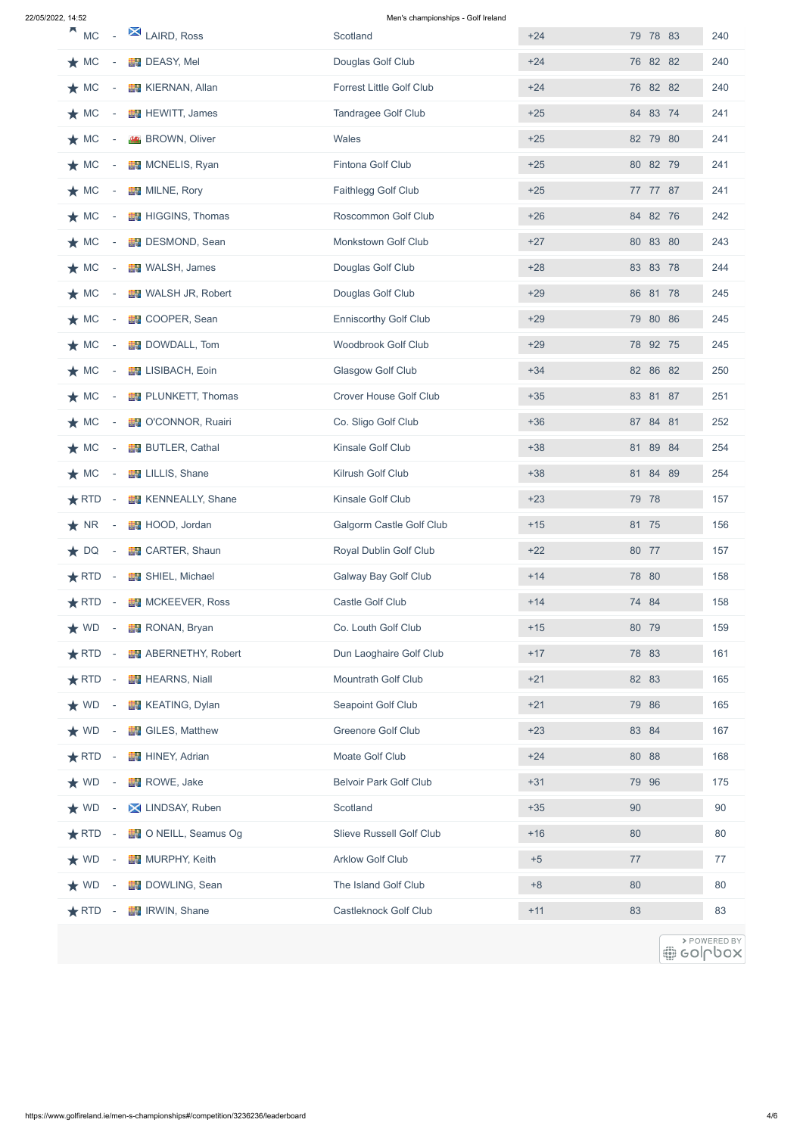22/05/2022, 14:52 Men's championships - Golf Ireland

| д<br>LAIRD, Ross<br><b>MC</b>                             | Scotland                        | $+24$ | 79 78 83 | 240                       |
|-----------------------------------------------------------|---------------------------------|-------|----------|---------------------------|
| $\star$ MC<br><b>B</b> DEASY, Mel                         | Douglas Golf Club               | $+24$ | 76 82 82 | 240                       |
| $\star$ MC<br><b>EV</b> KIERNAN, Allan                    | <b>Forrest Little Golf Club</b> | $+24$ | 76 82 82 | 240                       |
| $\star$ MC<br><b>EV</b> HEWITT, James                     | <b>Tandragee Golf Club</b>      | $+25$ | 84 83 74 | 241                       |
| $\star$ MC<br><b>K</b> BROWN, Oliver                      | Wales                           | $+25$ | 82 79 80 | 241                       |
| $\star$ MC<br><b>NONELIS, Ryan</b>                        | Fintona Golf Club               | $+25$ | 80 82 79 | 241                       |
| $\star$ MC<br><b>EV</b> MILNE, Rory                       | Faithlegg Golf Club             | $+25$ | 77 77 87 | 241                       |
| $\star$ MC<br><b>EV</b> HIGGINS, Thomas                   | <b>Roscommon Golf Club</b>      | $+26$ | 84 82 76 | 242                       |
| $\star$ MC<br><b>EN</b> DESMOND, Sean                     | <b>Monkstown Golf Club</b>      | $+27$ | 80 83 80 | 243                       |
| $\star$ MC<br><b>NEW</b> WALSH, James                     | Douglas Golf Club               | $+28$ | 83 83 78 | 244                       |
| $\star$ MC<br><b>NALSH JR, Robert</b>                     | Douglas Golf Club               | $+29$ | 86 81 78 | 245                       |
| $\star$ MC<br><b>EN</b> COOPER, Sean                      | <b>Enniscorthy Golf Club</b>    | $+29$ | 79 80 86 | 245                       |
| <b>DOWDALL, Tom</b><br>$\star$ MC                         | <b>Woodbrook Golf Club</b>      | $+29$ | 78 92 75 | 245                       |
| $\star$ MC<br><b>EN</b> LISIBACH, Eoin                    | <b>Glasgow Golf Club</b>        | $+34$ | 82 86 82 | 250                       |
| <b>EN</b> PLUNKETT, Thomas<br>$\star$ MC                  | <b>Crover House Golf Club</b>   | $+35$ | 83 81 87 | 251                       |
| $\star$ MC<br><b>EV</b> O'CONNOR, Ruairi                  | Co. Sligo Golf Club             | $+36$ | 87 84 81 | 252                       |
| $\bigstar$ MC - $\blacksquare$ BUTLER, Cathal             | Kinsale Golf Club               | $+38$ | 81 89 84 | 254                       |
| <b>EV</b> LILLIS, Shane<br>$\star$ MC<br>$\sim 100$       | Kilrush Golf Club               | $+38$ | 81 84 89 | 254                       |
| <b>EN</b> KENNEALLY, Shane<br>$\bigstar$ RTD $-$          | Kinsale Golf Club               | $+23$ | 79 78    | 157                       |
| $\bigstar$ NR -<br>HOOD, Jordan                           | <b>Galgorm Castle Golf Club</b> | $+15$ | 81 75    | 156                       |
| <b>EV</b> CARTER, Shaun<br>$\star$ DQ<br>$\sim$ 100 $\pm$ | <b>Royal Dublin Golf Club</b>   | $+22$ | 80 77    | 157                       |
| SHIEL, Michael<br>$\bigstar$ RTD $-$                      | <b>Galway Bay Golf Club</b>     | $+14$ | 78 80    | 158                       |
| <b>MCKEEVER, Ross</b><br>$\bigstar$ RTD $-$               | Castle Golf Club                | $+14$ | 74 84    | 158                       |
| <b>RONAN</b> , Bryan<br>$\star$ WD -                      | Co. Louth Golf Club             | $+15$ | 80 79    | 159                       |
| <b>ABERNETHY, Robert</b><br>$\bigstar$ RTD $-$            | Dun Laoghaire Golf Club         | $+17$ | 78 83    | 161                       |
| $\bigstar$ RTD - $\blacksquare$ HEARNS, Niall             | <b>Mountrath Golf Club</b>      | $+21$ | 82 83    | 165                       |
| $\bigstar$ WD - $\blacksquare$ KEATING, Dylan             | <b>Seapoint Golf Club</b>       | $+21$ | 79 86    | 165                       |
| <b>EV</b> GILES, Matthew<br>$\star$ WD -                  | <b>Greenore Golf Club</b>       | $+23$ | 83 84    | 167                       |
| <b>HINEY, Adrian</b><br>$\bigstar$ RTD $-$                | Moate Golf Club                 | $+24$ | 80 88    | 168                       |
| $\star$ WD -<br><b>ROWE, Jake</b>                         | <b>Belvoir Park Golf Club</b>   | $+31$ | 79 96    | 175                       |
| LINDSAY, Ruben<br>$\star$ WD -                            | Scotland                        | $+35$ | 90       | 90                        |
| RTD - EVONEILL, Seamus Og                                 | <b>Slieve Russell Golf Club</b> | $+16$ | 80       | 80                        |
| <b>NURPHY, Keith</b><br>$\star$ WD                        | <b>Arklow Golf Club</b>         | $+5$  | 77       | 77                        |
| <b>DOWLING, Sean</b><br>$\star$ WD                        | The Island Golf Club            | $+8$  | 80       | 80                        |
| <b>RWIN, Shane</b><br>$\bigstar$ RTD -                    | <b>Castleknock Golf Club</b>    | $+11$ | 83       | 83                        |
|                                                           |                                 |       |          | > POWERED BY<br>∰ eolpbox |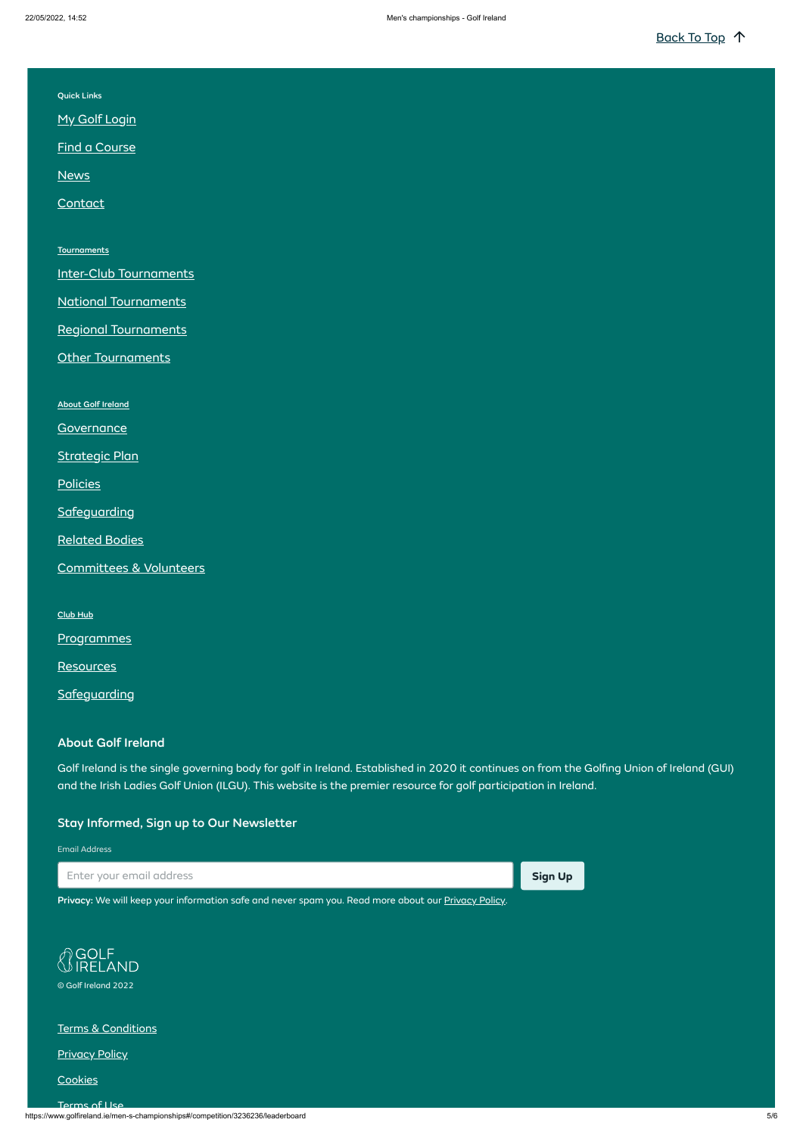https://www.golfireland.ie/men-s-championships#/competition/3236236/leaderboard 5/6

| <b>Quick Links</b> |  |
|--------------------|--|
|                    |  |

**My Golf [Login](https://www.golfireland.ie/my-golf-login)** 

Find [a Course](https://www.golfireland.ie/find-a-golf-club?menuid=102)

**[News](https://www.golfireland.ie/news?menuid=98)** 

**[Contact](https://www.golfireland.ie/contact-us)** 

**[Tournaments](https://www.golfireland.ie/inter-club#/customer/1759/schedule/2020/0)** 

[Inter-Club Tournaments](https://www.golfireland.ie/inter-club#/customer/1759/schedule/2020/0)

[National Tournaments](https://www.golfireland.ie/national#/customer/1746/schedule/2020/0)

[Regional Tournaments](https://www.golfireland.ie/regional)

**Other [Tournaments](https://www.golfireland.ie/others)** 

About Golf [Ireland](https://www.golfireland.ie/about-golf-ireland)

**[Governance](https://www.golfireland.ie/governance)** 

[Strategic](https://www.golfireland.ie/strategic-plan) Plan

**[Policies](https://www.golfireland.ie/policies)** 

**[Safeguarding](https://www.golfireland.ie/safeguarding)** 

[Related](https://www.golfireland.ie/related-bodies) Bodies

[Committees](https://www.golfireland.ie/committees-and-volunteers) & Volunteers

[Club](https://www.golfireland.ie/club-hub) Hub

**[Programmes](https://www.golfireland.ie/programmes)** 

**[Resources](https://www.golfireland.ie/resources)** 

**[Safeguarding](https://www.golfireland.ie/club-support-safeguarding)** 

## About Golf Ireland

Golf Ireland is the single governing body for golf in Ireland. Established in 2020 it continues on from the Golfing Union of Ireland (GUI) and the Irish Ladies Golf Union (ILGU). This website is the premier resource for golf participation in Ireland.

## Stay Informed, Sign up to Our Newsletter

Email Address





[Privacy](https://www.golfireland.ie/privacy-policy): We will keep your information safe and never spam you. Read more about our Privacy Policy.



© Golf Ireland 2022

Terms & [Conditions](https://www.golfireland.ie/terms-and-conditions)

**[Privacy](https://www.golfireland.ie/privacy-policy) Policy** 

**[Cookies](https://www.golfireland.ie/cookies)** 

[Terms](https://www.golfireland.ie/terms-of-use) of Use